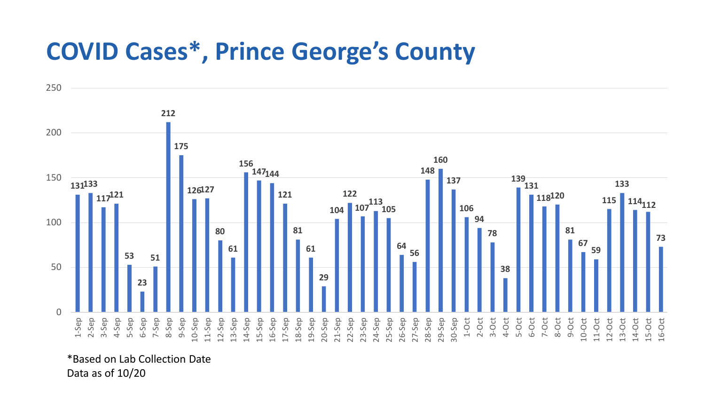## **COVID Cases\*, Prince George's County**



\*Based on Lab Collection Date Data as of 10/20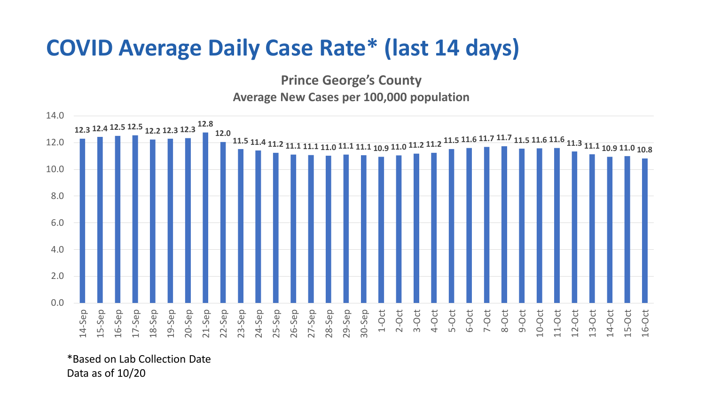## **COVID Average Daily Case Rate\* (last 14 days)**

**Prince George's County Average New Cases per 100,000 population**



\*Based on Lab Collection Date Data as of 10/20